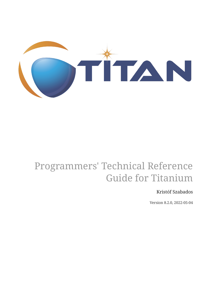

# Programmers' Technical Reference Guide for Titanium

#### Kristóf Szabados

Version 8.2.0, 2022-05-04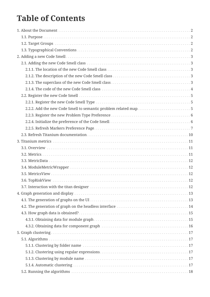## **Table of Contents**

| 5.1.1. Clustering by folder name mature of the contract of the contract of the contract of the contract of the |  |
|----------------------------------------------------------------------------------------------------------------|--|
|                                                                                                                |  |
|                                                                                                                |  |
|                                                                                                                |  |
|                                                                                                                |  |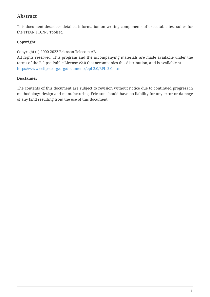#### **Abstract**

This document describes detailed information on writing components of executable test suites for the TITAN TTCN-3 Toolset.

#### **Copyright**

Copyright (c) 2000-2022 Ericsson Telecom AB.

All rights reserved. This program and the accompanying materials are made available under the terms of the Eclipse Public License v2.0 that accompanies this distribution, and is available at [https://www.eclipse.org/org/documents/epl-2.0/EPL-2.0.html.](https://www.eclipse.org/org/documents/epl-2.0/EPL-2.0.html)

#### **Disclaimer**

The contents of this document are subject to revision without notice due to continued progress in methodology, design and manufacturing. Ericsson should have no liability for any error or damage of any kind resulting from the use of this document.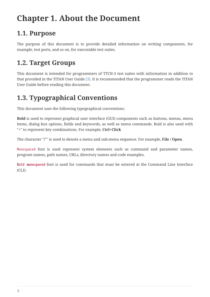# <span id="page-4-0"></span>**Chapter 1. About the Document**

### <span id="page-4-1"></span>**1.1. Purpose**

The purpose of this document is to provide detailed information on writing components, for example, test ports, and so on, for executable test suites.

### <span id="page-4-2"></span>**1.2. Target Groups**

This document is intended for programmers of TTCN-3 test suites with information in addition to that provided in the TITAN User Guide [\[3\]](#page-24-1). It is recommended that the programmer reads the TITAN User Guide before reading this document.

### <span id="page-4-3"></span>**1.3. Typographical Conventions**

This document uses the following typographical conventions:

**Bold** is used to represent graphical user interface (GUI) components such as buttons, menus, menu items, dialog box options, fields and keywords, as well as menu commands. Bold is also used with "+" to represent key combinations. For example, **Ctrl+Click**

The character "**/**"" is used to denote a menu and sub-menu sequence. For example, **File / Open**.

Monospaced font is used represent system elements such as command and parameter names, program names, path names, URLs, directory names and code examples.

**Bold monospaced** font is used for commands that must be entered at the Command Line Interface (CLI).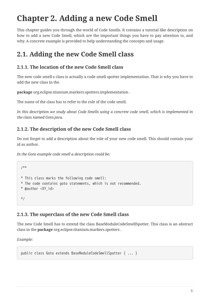# <span id="page-5-0"></span>**Chapter 2. Adding a new Code Smell**

This chapter guides you through the world of Code Smells. It contains a tutorial like description on how to add a new Code Smell, which are the important things you have to pay attention to, and why. A concrete example is provided to help understanding the concepts and usage.

## <span id="page-5-1"></span>**2.1. Adding the new Code Smell class**

#### <span id="page-5-2"></span>**2.1.1. The location of the new Code Smell class**

The new code smell-s class is actually a code smell spotter implementation. That is why you have to add the new class in the

**package** org.eclipse.titanium.markers.spotters.implementation .

The name of the class has to refer to the role of the code smell.

*In this description we study about Code Smells using a concrete code smell, which is implemented in the class named Goto.java.*

### <span id="page-5-3"></span>**2.1.2. The description of the new Code Smell class**

Do not forget to add a description about the role of your new code smell. This should contain your id as author.

*In the Goto example code smell a description could be:*

```
/**
* This class marks the following code smell:
* The code contains goto statements, which is not recommended.
* @author <XY_id>
*/
```
### <span id="page-5-4"></span>**2.1.3. The superclass of the new Code Smell class**

The new Code Smell has to extend the class BaseModuleCodeSmellSpotter. This class is an abstract class in the **package** org.eclipse.titanium.markers.spotters .

*Example:*

public class Goto extends BaseModuleCodeSmellSpotter { ... }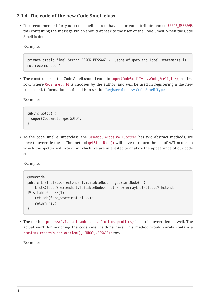#### <span id="page-6-0"></span>**2.1.4. The code of the new Code Smell class**

• It is recommended for your code smell class to have as private attribute named ERROR\_MESSAGE, this containing the message which should appear to the user of the Code Smell, when the Code Smell is detected.

Example:

```
private static final String ERROR_MESSAGE = "Usage of goto and label statements is
not recommended ";
```
• The constructor of the Code Smell should contain super(CodeSmellType.<Code\_Smell\_Id>); as first row, where Code\_Smell\_Id is choosen by the author, and will be used in registering a the new code smell. Information on this id is in section [Register the new Code Smell Type](#page-7-1).

Example:

```
public Goto() {
    super(CodeSmellType.GOTO);
}
```
• As the code smell-s superclass, the BaseModuleCodeSmellSpotter has two abstract methods, we have to override these. The method getStartNode() will have to return the list of AST nodes on which the spotter will work, on which we are interested to analyze the appearance of our code smell.

Example:

```
@Override
public List<Class<? extends IVisitableNode>> getStartNode() {
      List<Class<? extends IVisitableNode>> ret =new ArrayList<Class<? Extends
IVisitableNode>>(1);
      ret.add(Goto_statement.class);
      return ret;
}
```
• The method process(IVisitableNode node, Problems problems) has to be overriden as well. The actual work for matching the code smell is done here. This method would surely contain a problems.report(s.getLocation(), ERROR\_MESSAGE); row.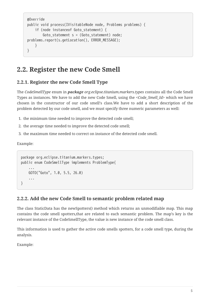```
@Override
public void process(IVisitableNode node, Problems problems) {
      if (node instanceof Goto_statement) {
        Goto statement s = (Goto statement) node;
problems.report(s.getLocation(), ERROR_MESSAGE);
      }
}
```
### <span id="page-7-0"></span>**2.2. Register the new Code Smell**

#### <span id="page-7-1"></span>**2.2.1. Register the new Code Smell Type**

The *CodeSmellType* enum in *package org.eclipse.titanium.markers.types* contains all the Code Smell Types as instances. We have to add the new Code Smell, using the *<Code\_Smell\_Id>* which we have chosen in the constructor of our code smell's class.We have to add a short description of the problem detected by our code smell, and we must specify three numeric parameters as well:

- 1. the minimum time needed to improve the detected code smell;
- 2. the average time needed to improve the detected code smell;
- 3. the maximum time needed to correct on instance of the detected code smell.

Example:

```
package org.eclipse.titanium.markers.types;
public enum CodeSmellType implements ProblemType{
      ...
      GOTO("Goto", 1.0, 5.5, 26.0)
      ...
}
```
#### <span id="page-7-2"></span>**2.2.2. Add the new Code Smell to semantic problem related map**

The class StaticData has the newSpotters() method which returns an unmodifiable map. This map contains the code smell spotters,that are related to each semantic problem. The map's key is the relevant instance of the CodeSmellType, the value is new instance of the code smell class.

This information is used to gather the active code smells spotters, for a code smell type, during the analysis.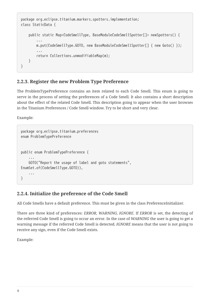```
package org.eclipse.titanium.markers.spotters.implementation;
class StaticData {
      public static Map<CodeSmellType, BaseModuleCodeSmellSpotter[]> newSpotters() {
          ...
          m.put(CodeSmellType.GOTO, new BaseModuleCodeSmellSpotter[] { new Goto() });
  ...
          return Collections.unmodifiableMap(m);
      }
}
```
#### <span id="page-8-0"></span>**2.2.3. Register the new Problem Type Preference**

The ProblemTypePreference contains an item related to each Code Smell. This enum is going to serve in the process of setting the preferences of a Code Smell. It also contains a short description about the effect of the related Code Smell. This description going to appear when the user browses in the Titanium Preferences / Code Smell window. Try to be short and very clear.

Example:

```
package org.eclipse.titanium.preferences
enum ProblemTypePreference
public enum ProblemTypePreference {
  ...
      GOTO("Report the usage of label and goto statements",
EnumSet.of(CodeSmellType.GOTO)),
      ...
}
```
#### <span id="page-8-1"></span>**2.2.4. Initialize the preference of the Code Smell**

All Code Smells have a default preference. This must be given in the class PreferenceInitializer.

There are three kind of preferences: *ERROR, WARNING, IGNORE*. If *ERROR* is set, the detecting of the referred Code Smell is going to occur an error. In the case of *WARNING* the user is going to get a warning message if the referred Code Smell is detected. *IGNORE* means that the user is not going to receive any sign, even if the Code Smell exists.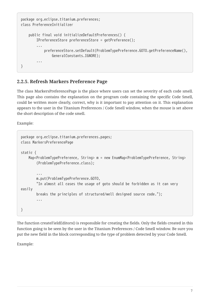```
package org.eclipse.titanium.preferences;
class PreferenceInitializer
      public final void initializeDefaultPreferences() {
          IPreferenceStore preferenceStore = getPreference();
          ...
              preferenceStore.setDefault(ProblemTypePreference.GOTO.getPreferenceName(),
                   GeneralConstants.IGNORE);
          ...
}
```
#### <span id="page-9-0"></span>**2.2.5. Refresh Markers Preference Page**

The class MarkersPreferencePage is the place where users can set the severity of each code smell. This page also contains the explanation on the program code containing the specific Code Smell, could be written more clearly, correct, why is it important to pay attention on it. This explanation appears to the user in the Titanium Preferences / Code Smell window, when the mouse is set above the short description of the code smell.

Example:

```
package org.eclipse.titanium.preferences.pages;
class MarkersPreferencePage
static {
     Map<ProblemTypePreference, String> m = new EnumMap<ProblemTypePreference, String>
          (ProblemTypePreference.class);
  ...
          m.put(ProblemTypePreference.GOTO,
          "In almost all cases the usage of goto should be forbidden as it can very
easily
          breaks the principles of structured/well designed source code.");
          ...
}
```
The function createFieldEditors() is responsible for creating the fields. Only the fields created in this function going to be seen by the user in the Titanium Preferences / Code Smell window. Be sure you put the new field in the block corresponding to the type of problem detected by your Code Smell.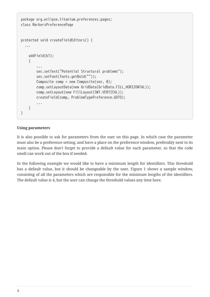```
package org.eclipse.titanium.preferences.pages;
class MarkersPreferencePage
protected void createFieldEditors() {
    ...
      addField(b1);
      {
  ...
          sec.setText("Potential Structural problems");
          sec.setFont(fonts.getBold(""));
        Composite comp = new Composite(sec, \theta);
          comp.setLayoutData(new GridData(GridData.FILL_HORIZONTAL));
          comp.setLayout(new FillLayout(SWT.VERTICAL));
          createField(comp, ProblemTypePreference.GOTO);
          ...
     }
}
```
#### **Using parameters**

It is also possible to ask for parameters from the user on this page. In which case the parameter must also be a preference setting, and have a place on the preference window, preferably next to its main option. Please don't forget to provide a default value for each parameter, so that the code smell can work out of the box if needed.

In the following example we would like to have a minimum length for identifiers. This threshold has a default value, but it should be changeable by the user. Figure 1 shows a sample window, consisting of all the parameters which are responsible for the minimum lengths of the identifiers. The default value is 4, but the user can change the threshold values any time here.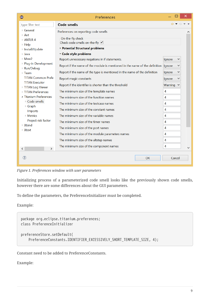|                                                                                                             | Preferences                                                                                                                                    |             |  |
|-------------------------------------------------------------------------------------------------------------|------------------------------------------------------------------------------------------------------------------------------------------------|-------------|--|
| type filter text                                                                                            | Code smells                                                                                                                                    |             |  |
| ▷ General<br>$\triangleright$ Ant<br>$\triangleright$ ANTI R 4<br>$\triangleright$ Help<br>▷ Install/Update | Preferences on reporting code smells<br>On-the-fly check<br>Check code smells on-the-fly $\blacktriangledown$<br>Potential Structural problems |             |  |
| ▷ Java                                                                                                      | v Code style problems                                                                                                                          |             |  |
| ▷ Mwe2                                                                                                      | Report unnecessary negations in if statements.                                                                                                 | lgnore      |  |
| P Plug-in Development<br>▷ Run/Debug                                                                        | Report if the name of the module is mentioned in the name of the definition                                                                    | Ignore<br>v |  |
| $\triangleright$ Team                                                                                       | Report if the name of the type is mentioned in the name of the definition                                                                      | v<br>Ignore |  |
| <b>TITAN Common Prefe</b>                                                                                   | Report magic constants                                                                                                                         | Ignore      |  |
| <b>TITAN Executor</b><br><b>FITAN Log Viewer</b>                                                            | Report if the identifier is shorter than the threshold                                                                                         | Warning     |  |
| <b>FITAN Preferences</b>                                                                                    | The minimum size of the template names                                                                                                         | 4           |  |
| ▲ Titanium Preferences                                                                                      | The minimum size of the function names                                                                                                         | 4           |  |
| ▷ Code smells<br>▷ Graph                                                                                    | The minimum size of the testcase names                                                                                                         | 4           |  |
| Imports                                                                                                     | The minimum size of the constant names                                                                                                         | 4           |  |
| <b>Metrics</b>                                                                                              | The minimum size of the variable names                                                                                                         | 4           |  |
| Project risk factor<br>▷ Xtend                                                                              | The minimum size of the timer names                                                                                                            | 4           |  |
| $\triangleright$ Xtext                                                                                      | The minimum size of the port names                                                                                                             | 4           |  |
|                                                                                                             | The minimum size of the module parameters names                                                                                                | 4           |  |
|                                                                                                             | The minimum size of the altstep names                                                                                                          | 4           |  |
| $\overline{\left\langle \right\rangle }$<br>$\mathbf{\Sigma}$                                               | The minimum size of the component names                                                                                                        | 4           |  |
| $\left( 2\right)$                                                                                           | OK                                                                                                                                             | Cancel      |  |

*Figure 1. Preferences window with user parameters*

Initializing process of a parameterized code smell looks like the previously shown code smells, however there are some differences about the GUI parameters.

To define the parameters, the PreferenceInitializer must be completed.

Example:

```
package org.eclipse.titanium.preferences;
class PreferenceInitializer
preferenceStore.setDefault(
      PreferenceConstants.IDENTIFIER_EXCESSIVELY_SHORT_TEMPLATE_SIZE, 4);
```
Constant need to be added to PreferenceConstants.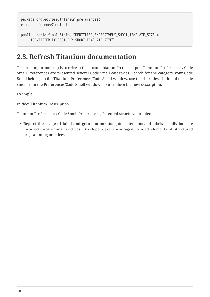package org.eclipse.titanium.preferences; class PreferenceConstants

```
public static final String IDENTIFIER EXCESSIVELY SHORT TEMPLATE SIZE =
      "IDENTIFIER_EXCESSIVELY_SHORT_TEMPLATE_SIZE";
```
### <span id="page-12-0"></span>**2.3. Refresh Titanium documentation**

The last, important step is to refresh the documentation. In the chapter Titanium Preferences / Code Smell Preferences are presented several Code Smell categories. Search for the category your Code Smell belongs in the Titanium Preferences/Code Smell window, use the short description of the code smell from the Preferences/Code Smell window l to introduce the new description.

Example:

In docs/Titanium\_Description

Titanium Preferences / Code Smell Preferences / Potential structural problems

• **Report the usage of label and goto statements**: goto statements and labels usually indicate incorrect programing practices. Developers are encouraged to used elements of structured programming practices.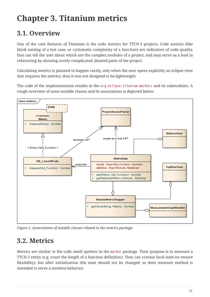# <span id="page-13-0"></span>**Chapter 3. Titanium metrics**

## <span id="page-13-1"></span>**3.1. Overview**

One of the core features of Titanium is the code metrics for TTCN-3 projects. Code metrics (like block nesting of a test case, or cyclomatic complexity of a function) are indicators of code quality, that can tell the user about which are the complex modules of a project, and may serve as a lead in refactoring by showing overly complicated, bloated parts of the project.

Calculating metrics is planned to happen rarely, only when the user opens explicitly an eclipse view that requires the metrics, thus it was not designed to be lightweight.

The code of the implementation resides in the org.eclipse.titanium.markers and its submodules. A rough overview of some notable classes and its associations is depicted below.



*Figure 2. Associations of notable classes related to the metrics package*

### <span id="page-13-2"></span>**3.2. Metrics**

Metrics are similar to the code smell spotters in the marker package. Their purpose is to measure a TTCN-3 entity (e.g. count the length of a function definition). They can contain local state (to ensure flexibility), but after initialization this state should not be changed, so their measure method is intended to serve a stateless behavior.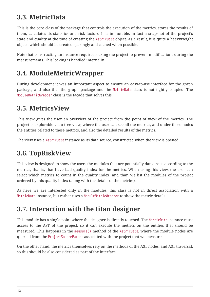### <span id="page-14-0"></span>**3.3. MetricData**

This is the core class of the package that controls the execution of the metrics, stores the results of them, calculates its statistics and risk factors. It is immutable, in fact a snapshot of the project's state and quality at the time of creating the MetricData object. As a result, it is quite a heavyweight object, which should be created sparingly and cached when possible.

Note that constructing an instance requires locking the project to prevent modifications during the measurements. This locking is handled internally.

## <span id="page-14-1"></span>**3.4. ModuleMetricWrapper**

During development it was an important aspect to ensure an easy-to-use interface for the graph package, and also that the graph package and the MetricData class is not tightly coupled. The ModuleMetricWrapper class is the façade that solves this.

### <span id="page-14-2"></span>**3.5. MetricsView**

This view gives the user an overview of the project from the point of view of the metrics. The project is explorable via a tree view, where the user can see all the metrics, and under those nodes the entities related to these metrics, and also the detailed results of the metrics.

The view uses a MetricData instance as its data source, constructed when the view is opened.

### <span id="page-14-3"></span>**3.6. TopRiskView**

This view is designed to show the users the modules that are potentially dangerous according to the metrics, that is, that have bad quality index for the metrics. When using this view, the user can select which metrics to count in the quality index, and than we list the modules of the project ordered by this quality index (along with the details of the metrics).

As here we are interested only in the modules, this class is not in direct association with a MetricData instance, but rather uses a ModuleMetricWrapper to show the metric details.

### <span id="page-14-4"></span>**3.7. Interaction with the titan designer**

This module has a single point where the designer is directly touched. The MetricData instance must access to the AST of the project, so it can execute the metrics on the entities that should be measured. This happens in the measure() method of the MetricData, where the module nodes are queried from the ProjectSourceParser associated with the project that we measure.

On the other hand, the metrics themselves rely on the methods of the AST nodes, and AST traversal, so this should be also considered as part of the interface.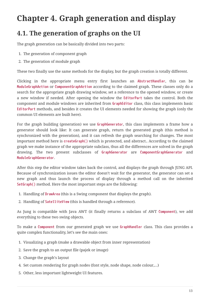# <span id="page-15-0"></span>**Chapter 4. Graph generation and display**

### <span id="page-15-1"></span>**4.1. The generation of graphs on the UI**

The graph generation can be basically divided into two parts:

- 1. The generation of component graph
- 2. The generation of module graph

These two finally use the same methods for the display, but the graph creation is totally different.

Clicking in the appropriate menu entry first launches an **AbstractHandler**, this can be **ModuleGraphAction** or **ComponentGraphAction** according to the claimed graph. These classes only do a search for the appropriate graph drawing window, set a reference to the opened window, or create a new window if needed. After opening the window the **EditorPart** takes the control. Both the component and module windows are inherited from **GraphEditor** class, this class implements basic **EditorPart** methods, and besides it creates the UI elements needed for showing the graph (only the common UI elements are built here).

For the graph building (generation) we use **GraphGenerator**, this class implements a frame how a generator should look like: It can generate graph, return the generated graph (this method is synchronized with the generation), and it can refresh the graph searching for changes. The most important method here is **createGraph()** which is protected, and abstract.. According to the claimed graph we make instance of the appropriate subclass, thus all the differences are solved in the graph drawing. The two present subclasses of **GraphGenerator** are **ComponentGraphGenerator** and **ModuleGraphGenerator**.

After this step the editor window takes back the control, and displays the graph through JUNG API. Because of synchronization issues the editor doesn't wait for the generator, the generator can set a new graph and thus launch the process of display through a method call on the inherited **SetGraph()** method. Here the most important steps are the following:

- 1. Handling of **DrawArea** (this is a Swing component that displays the graph).
- 2. Handling of **SatelliteView** (this is handled through a reference).

As Jung is compatible with Java AWT (it finally returns a subclass of AWT **Component**), we add everything to these two swing objects.

To make a **Component** from our generated graph we use **GraphHandler** class. This class provides a quite complex functionality, let's see the main ones:

- 1. Visualizing a graph (make a drawable object from inner representation)
- 2. Save the graph to an output file (pajek or image)
- 3. Change the graph's layout
- 4. Set custom rendering for graph nodes (font style, node shape, node colour,…)
- 5. Other, less important lightweight UI features.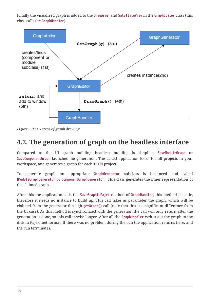Finally the visualized graph is added to the **DrawArea**, and **SatelliteView** in the **GraphEditor** class (this class calls the **GraphHandler**).



*Figure 3. The 5 steps of graph drawing*

### <span id="page-16-0"></span>**4.2. The generation of graph on the headless interface**

Compared to the UI graph building headless building is simplier. **SaveModuleGraph** or **SaveComponentGraph** launches the generation**.** The called application looks for all projects in your workspace, and generates a graph for each TTCN project.

To generate graph an appropriate **GraphGenerator** subclass is instanced and called (**ModuleGraphGenerator** or **ComponentGraphGenerator**). This class generates the inner representation of the claimed graph.

After this the application calls the **SaveGraphToPajek** method of **GraphHandler**, this method is static, therefore it needs no instance to build up. This call takes as parameter the graph, which will be claimed from the generator through **getGraph()** call (note that this is a significant difference from the UI case). As this method is synchronized with the generation the call will only return after the generation is done, so this call maybe longer. After all the **GraphHandler** writes out the graph to the disk in Pajek .net format. If there was no problem during the run the application returns here, and the run terminates.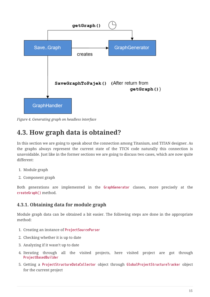

*Figure 4. Generating graph on headless interface*

### <span id="page-17-0"></span>**4.3. How graph data is obtained?**

In this section we are going to speak about the connection among Titanium, and TITAN designer. As the graphs always represent the current state of the TTCN code naturally this connection is unavoidable. Just like in the former sections we are going to discuss two cases, which are now quite different:

- 1. Module graph
- 2. Component graph

Both generations are implemented in the **GraphGenerator** classes, more precisely at the **createGraph()** method.

#### <span id="page-17-1"></span>**4.3.1. Obtaining data for module graph**

Module graph data can be obtained a bit easier. The following steps are done in the appropriate method:

- 1. Creating an instance of **ProjectSourceParser**
- 2. Checking whether it is up to date
- 3. Analyzing if it wasn't up to date
- 4. Iterating through all the visited projects, here visited project are got through **ProjectBasedBuilder**
- 5. Getting a **ProjectStructureDataCollector** object through **GlobalProjectStructureTracker** object for the current project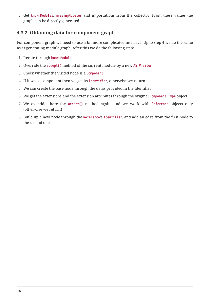6. Get **knownModules**, **missingModules** and importations from the collector. From these values the graph can be directly generated

#### <span id="page-18-0"></span>**4.3.2. Obtaining data for component graph**

For component graph we need to use a bit more complicated interface. Up to step 4 we do the same as at generating module graph. After this we do the following steps:

- 1. Iterate through **knownModules**
- 2. Override the **accept()** method of the current module by a new **ASTVisitor**
- 3. Check whether the visited node is a **Component**
- 4. If it was a component then we get its **Identifier**, otherwise we return
- 5. We can create the base node through the datas provided in the Identifier
- 6. We get the extensions and the extension attributes through the original **Component\_Type** object
- 7. We override there the **accept()** method again, and we work with **Reference** objects only (otherwise we return)
- 8. Build up a new node through the **Reference**'s **Identifier**, and add an edge from the first node to the second one.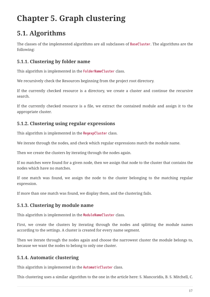# <span id="page-19-0"></span>**Chapter 5. Graph clustering**

## <span id="page-19-1"></span>**5.1. Algorithms**

The classes of the implemented algorithms are all subclasses of **BaseCluster**. The algorithms are the following:

#### <span id="page-19-2"></span>**5.1.1. Clustering by folder name**

This algorithm is implemented in the **FolderNameCluster** class.

We recursively check the Resources beginning from the project root directory.

If the currently checked resource is a directory, we create a cluster and continue the recursive search.

If the currently checked resource is a file, we extract the contained module and assign it to the appropriate cluster.

### <span id="page-19-3"></span>**5.1.2. Clustering using regular expressions**

This algorithm is implemented in the **RegexpCluster** class.

We iterate through the nodes, and check which regular expressions match the module name.

Then we create the clusters by iterating through the nodes again.

If no matches were found for a given node, then we assign that node to the cluster that contains the nodes which have no matches.

If one match was found, we assign the node to the cluster belonging to the matching regular expression.

If more than one match was found, we display them, and the clustering fails.

### <span id="page-19-4"></span>**5.1.3. Clustering by module name**

This algorithm is implemented in the **ModuleNameCluster** class.

First, we create the clusters by iterating through the nodes and splitting the module names according to the settings. A cluster is created for every name segment.

Then we iterate through the nodes again and choose the narrowest cluster the module belongs to, because we want the nodes to belong to only one cluster.

### <span id="page-19-5"></span>**5.1.4. Automatic clustering**

This algorithm is implemented in the **AutomaticCluster** class.

This clustering uses a similar algorithm to the one in the article here: S. Mancoridis, B. S. Mitchell, C.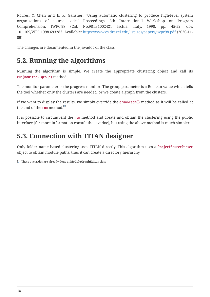Rorres, Y. Chen and E. R. Gansner, "Using automatic clustering to produce high-level system organizations of source code," Proceedings. 6th International Workshop on Program Comprehension. IWPC'98 (Cat. No.98TB100242), Ischia, Italy, 1998, pp. 45-52, doi: 10.1109/WPC.1998.693283. Available: <https://www.cs.drexel.edu/~spiros/papers/iwpc98.pdf>(2020-11- 09)

The changes are documented in the javadoc of the class.

### <span id="page-20-0"></span>**5.2. Running the algorithms**

Running the algorithm is simple. We create the appropriate clustering object and call its **run(monitor, group)** method.

The monitor parameter is the progress monitor. The group parameter is a Boolean value which tells the tool whether only the clusters are needed, or we create a graph from the clusters.

<span id="page-20-3"></span>If we want to display the results, we simply override the **drawGraph()** method as it will be called at the end of the **run** method.<sup>[\[1\]](#page-20-2)</sup>

It is possible to circumvent the **run** method and create and obtain the clustering using the public interface (for more information consult the javadoc), but using the above method is much simpler.

## <span id="page-20-1"></span>**5.3. Connection with TITAN designer**

Only folder name based clustering uses TITAN directly. This algorithm uses a **ProjectSourceParser** object to obtain module paths, thus it can create a directory hierarchy.

<span id="page-20-2"></span>[\[1\]](#page-20-3) These overrides are already done at **ModuleGraphEditor** class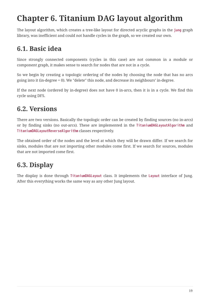# <span id="page-21-0"></span>**Chapter 6. Titanium DAG layout algorithm**

The layout algorithm, which creates a tree-like layout for directed acyclic graphs in the **jung** graph library, was inefficient and could not handle cycles in the graph, so we created our own.

## <span id="page-21-1"></span>**6.1. Basic idea**

Since strongly connected components (cycles in this case) are not common in a module or component graph, it makes sense to search for nodes that are not in a cycle.

So we begin by creating a topologic ordering of the nodes by choosing the node that has no arcs going into it (in-degree = 0). We "delete" this node, and decrease its neighbours' in-degree.

If the next node (ordered by in-degree) does not have 0 in-arcs, then it is in a cycle. We find this cycle using DFS.

## <span id="page-21-2"></span>**6.2. Versions**

There are two versions. Basically the topologic order can be created by finding sources (no in-arcs) or by finding sinks (no out-arcs). These are implemented in the **TitaniumDAGLayoutAlgorithm** and **TitaniumDAGLayoutReverseAlgorithm** classes respectively.

The obtained order of the nodes and the level at which they will be drawn differ. If we search for sinks, modules that are not importing other modules come first. If we search for sources, modules that are not imported come first.

## <span id="page-21-3"></span>**6.3. Display**

The display is done through **TitaniumDAGLayout** class. It implements the **Layout** interface of Jung. After this everything works the same way as any other Jung layout.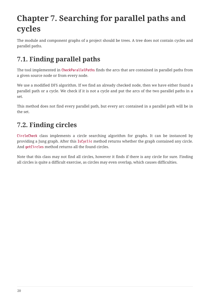# <span id="page-22-0"></span>**Chapter 7. Searching for parallel paths and cycles**

The module and component graphs of a project should be trees. A tree does not contain cycles and parallel paths.

## <span id="page-22-1"></span>**7.1. Finding parallel paths**

The tool implemented in **CheckParallelPaths** finds the arcs that are contained in parallel paths from a given source node or from every node.

We use a modified DFS algorithm. If we find an already checked node, then we have either found a parallel path or a cycle. We check if it is not a cycle and put the arcs of the two parallel paths in a set.

This method does not find every parallel path, but every arc contained in a parallel path will be in the set.

## <span id="page-22-2"></span>**7.2. Finding circles**

**CircleCheck** class implements a circle searching algorithm for graphs. It can be instanced by providing a Jung graph. After this **IsCyclic** method returns whether the graph contained any circle. And **getCircles** method returns all the found circles.

Note that this class may not find all circles, however it finds if there is any circle for sure. Finding all circles is quite a difficult exercise, as circles may even overlap, which causes difficulties.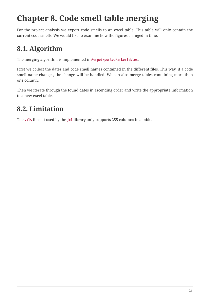# <span id="page-23-0"></span>**Chapter 8. Code smell table merging**

For the project analysis we export code smells to an excel table. This table will only contain the current code smells. We would like to examine how the figures changed in time.

## <span id="page-23-1"></span>**8.1. Algorithm**

The merging algorithm is implemented in **MergeExportedMarkerTables**.

First we collect the dates and code smell names contained in the different files. This way, if a code smell name changes, the change will be handled. We can also merge tables containing more than one column.

Then we iterate through the found dates in ascending order and write the appropriate information to a new excel table.

### <span id="page-23-2"></span>**8.2. Limitation**

The **.xls** format used by the **jxl** library only supports 255 columns in a table.